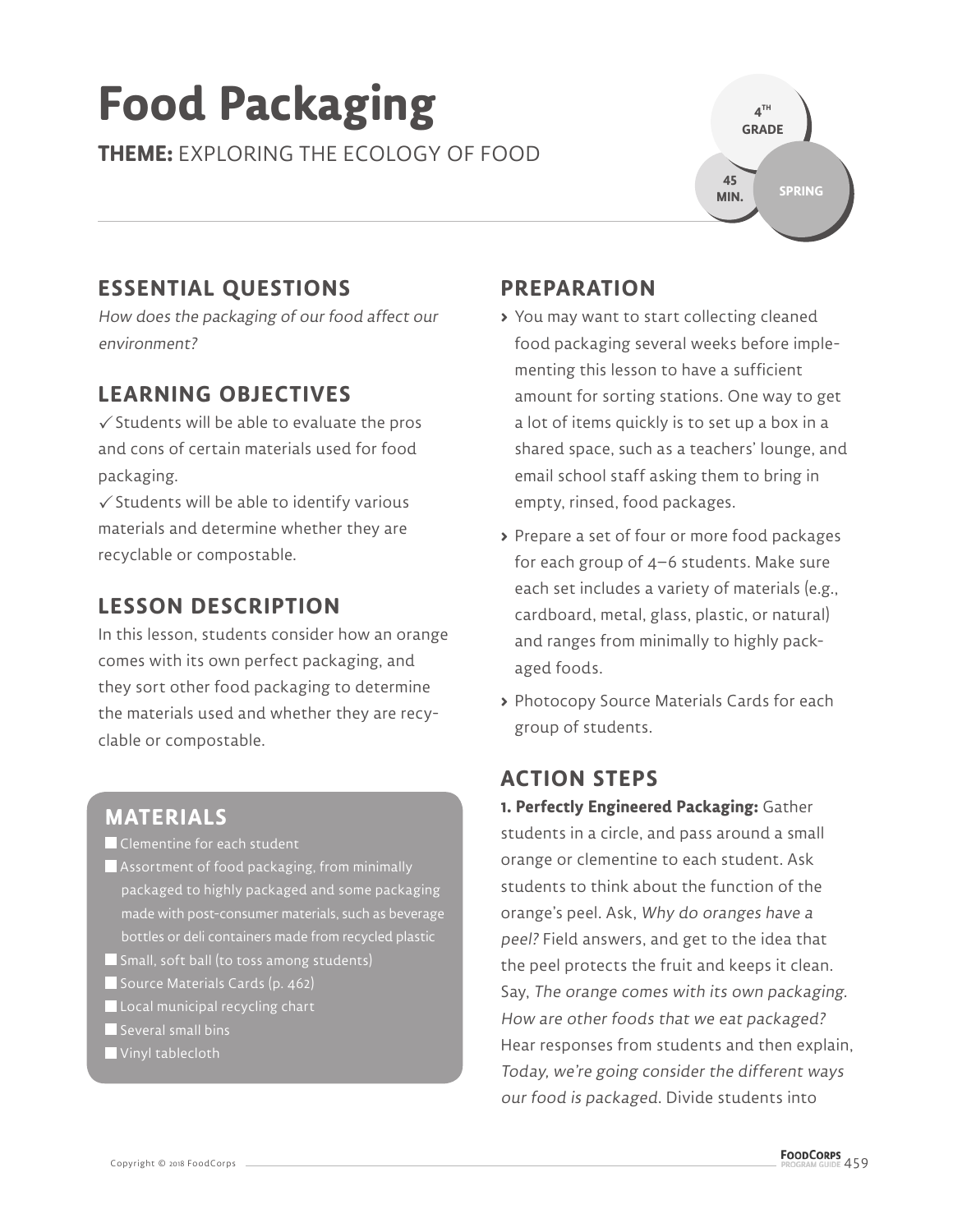# **Food Packaging**

**THEME:** EXPLORING THE ECOLOGY OF FOOD



## **ESSENTIAL QUESTIONS**

How does the packaging of our food affect our environment?

#### **LEARNING OBJECTIVES**

 $\checkmark$  Students will be able to evaluate the pros and cons of certain materials used for food packaging.

 $\checkmark$  Students will be able to identify various materials and determine whether they are recyclable or compostable.

#### **LESSON DESCRIPTION**

In this lesson, students consider how an orange comes with its own perfect packaging, and they sort other food packaging to determine the materials used and whether they are recyclable or compostable.

#### **MATERIALS**

**Clementine for each student** 

- Assortment of food packaging, from minimally packaged to highly packaged and some packaging made with post-consumer materials, such as beverage bottles or deli containers made from recycled plastic
- Small, soft ball (to toss among students)
- Source Materials Cards (p. 462)
- Local municipal recycling chart
- Several small bins
- Vinyl tablecloth

### **PREPARATION**

- **>** You may want to start collecting cleaned food packaging several weeks before implementing this lesson to have a sufficient amount for sorting stations. One way to get a lot of items quickly is to set up a box in a shared space, such as a teachers' lounge, and email school staff asking them to bring in empty, rinsed, food packages.
- **>** Prepare a set of four or more food packages for each group of 4–6 students. Make sure each set includes a variety of materials (e.g., cardboard, metal, glass, plastic, or natural) and ranges from minimally to highly packaged foods.
- **>** Photocopy Source Materials Cards for each group of students.

#### **ACTION STEPS**

**1. Perfectly Engineered Packaging:** Gather students in a circle, and pass around a small orange or clementine to each student. Ask students to think about the function of the orange's peel. Ask, Why do oranges have a peel? Field answers, and get to the idea that the peel protects the fruit and keeps it clean. Say, The orange comes with its own packaging. How are other foods that we eat packaged? Hear responses from students and then explain, Today, we're going consider the different ways our food is packaged. Divide students into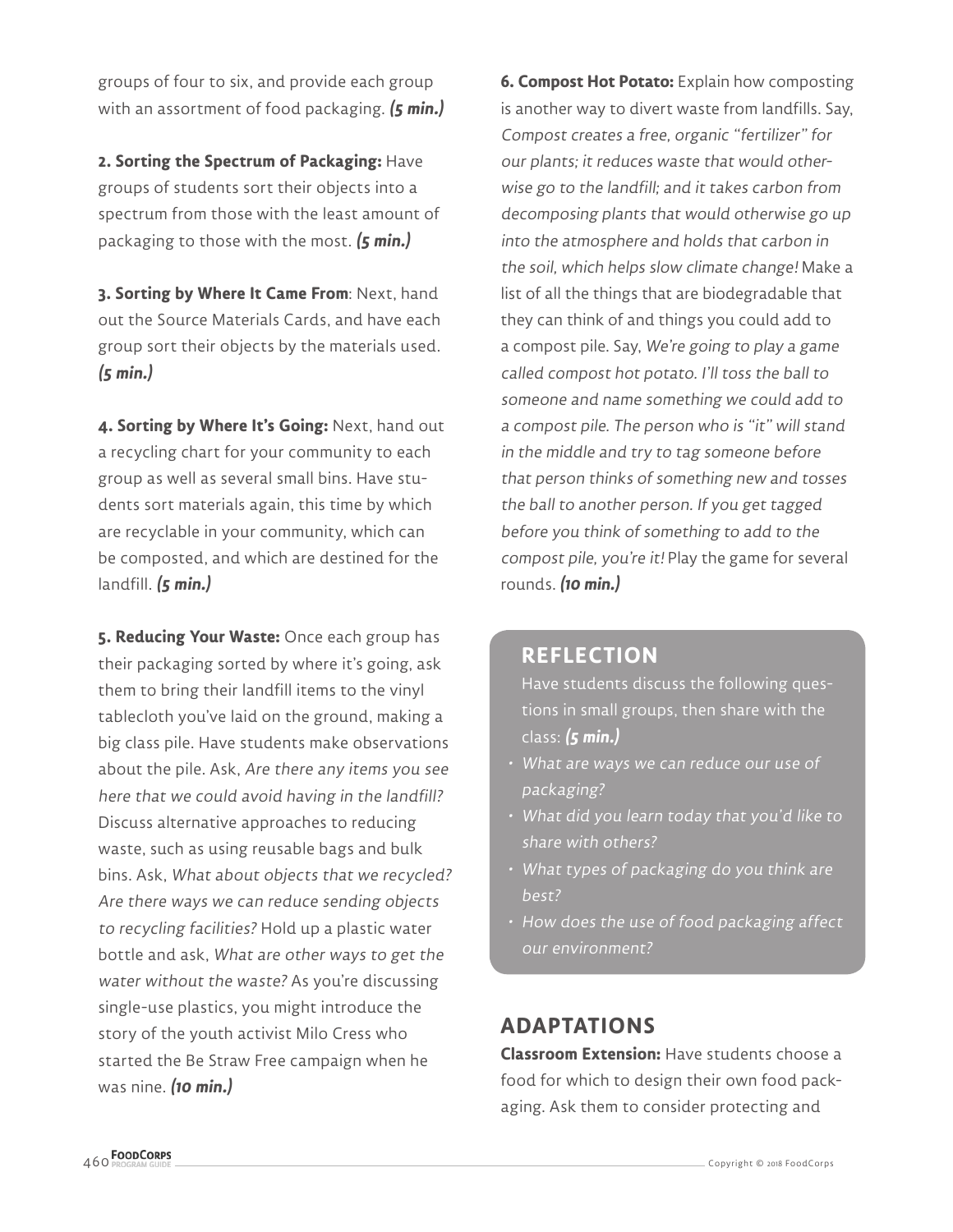groups of four to six, and provide each group with an assortment of food packaging. **(5 min.)**

**2. Sorting the Spectrum of Packaging:** Have groups of students sort their objects into a spectrum from those with the least amount of packaging to those with the most. **(5 min.)**

**3. Sorting by Where It Came From**: Next, hand out the Source Materials Cards, and have each group sort their objects by the materials used. **(5 min.)**

**4. Sorting by Where It's Going:** Next, hand out a recycling chart for your community to each group as well as several small bins. Have students sort materials again, this time by which are recyclable in your community, which can be composted, and which are destined for the landfill. **(5 min.)**

**5. Reducing Your Waste:** Once each group has their packaging sorted by where it's going, ask them to bring their landfill items to the vinyl tablecloth you've laid on the ground, making a big class pile. Have students make observations about the pile. Ask, Are there any items you see here that we could avoid having in the landfill? Discuss alternative approaches to reducing waste, such as using reusable bags and bulk bins. Ask, What about objects that we recycled? Are there ways we can reduce sending objects to recycling facilities? Hold up a plastic water bottle and ask, What are other ways to get the water without the waste? As you're discussing single-use plastics, you might introduce the story of the youth activist Milo Cress who started the Be Straw Free campaign when he was nine. **(10 min.)** 

**6. Compost Hot Potato:** Explain how composting is another way to divert waste from landfills. Say, Compost creates a free, organic "fertilizer" for our plants; it reduces waste that would otherwise go to the landfill; and it takes carbon from decomposing plants that would otherwise go up into the atmosphere and holds that carbon in the soil, which helps slow climate change! Make a list of all the things that are biodegradable that they can think of and things you could add to a compost pile. Say, We're going to play a game called compost hot potato. I'll toss the ball to someone and name something we could add to a compost pile. The person who is "it" will stand in the middle and try to tag someone before that person thinks of something new and tosses the ball to another person. If you get tagged before you think of something to add to the compost pile, you're it! Play the game for several rounds. **(10 min.)**

#### **REFLECTION**

Have students discuss the following questions in small groups, then share with the class: **(5 min.)**

- What are ways we can reduce our use of packaging?
- What did you learn today that you'd like to share with others?
- What types of packaging do you think are best?
- How does the use of food packaging affect our environment?

#### **ADAPTATIONS**

**Classroom Extension:** Have students choose a food for which to design their own food packaging. Ask them to consider protecting and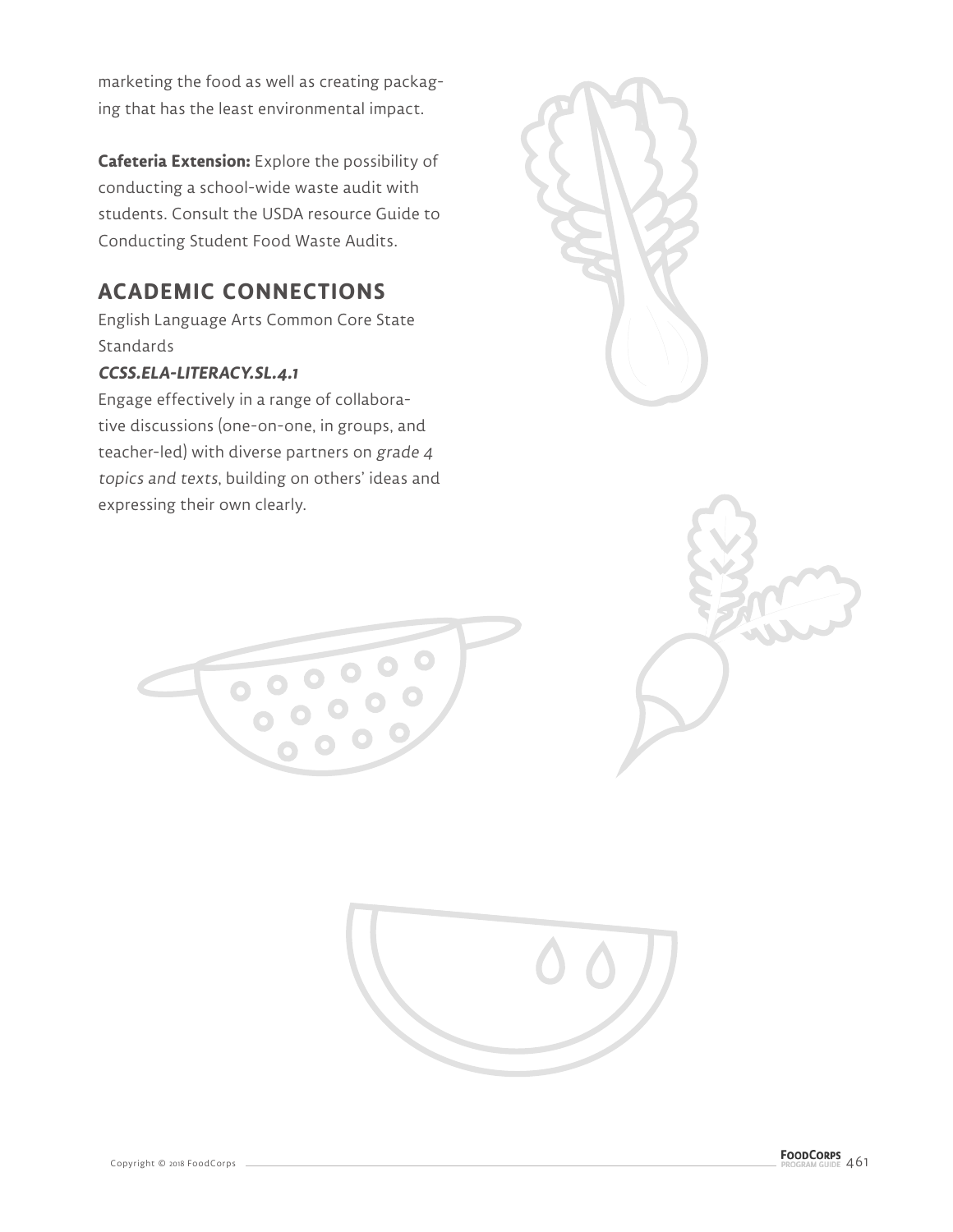marketing the food as well as creating packaging that has the least environmental impact.

**Cafeteria Extension:** Explore the possibility of conducting a school-wide waste audit with students. Consult the USDA resource Guide to Conducting Student Food Waste Audits.

#### **ACADEMIC CONNECTIONS**

English Language Arts Common Core State Standards

#### **CCSS.ELA-LITERACY.SL.4.1**

Engage effectively in a range of collaborative discussions (one-on-one, in groups, and teacher-led) with diverse partners on grade 4 topics and texts, building on others' ideas and expressing their own clearly.